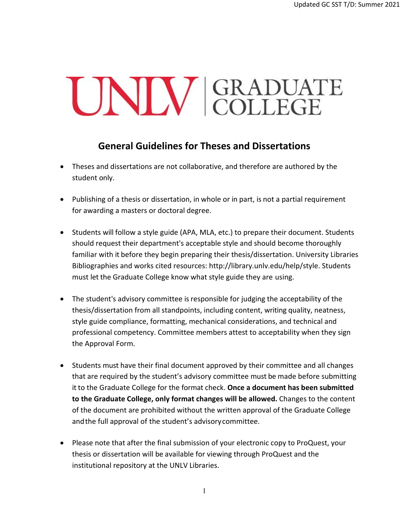## UNIV GRADUATE

## **General Guidelines for Theses and Dissertations**

- Theses and dissertations are not collaborative, and therefore are authored by the student only.
- Publishing of a thesis or dissertation, in whole or in part, is not a partial requirement for awarding a masters or doctoral degree.
- Students will follow a style guide (APA, MLA, etc.) to prepare their document. Students should request their department's acceptable style and should become thoroughly familiar with it before they begin preparing their thesis/dissertation. University Libraries Bibliographies and works cited resources: [http://library.unlv.edu/help/style. S](http://library.unlv.edu/help/style)tudents must let the Graduate College know what style guide they are using.
- The student's advisory committee is responsible for judging the acceptability of the thesis/dissertation from all standpoints, including content, writing quality, neatness, style guide compliance, formatting, mechanical considerations, and technical and professional competency. Committee members attest to acceptability when they sign the Approval Form.
- Students must have their final document approved by their committee and all changes that are required by the student's advisory committee must be made before submitting it to the Graduate College for the format check. **Once a document has been submitted to the Graduate College, only format changes will be allowed.** Changes to the content of the document are prohibited without the written approval of the Graduate College andthe full approval of the student's advisorycommittee.
- Please note that after the final submission of your electronic copy to ProQuest, your thesis or dissertation will be available for viewing through ProQuest and the institutional repository at the UNLV Libraries.